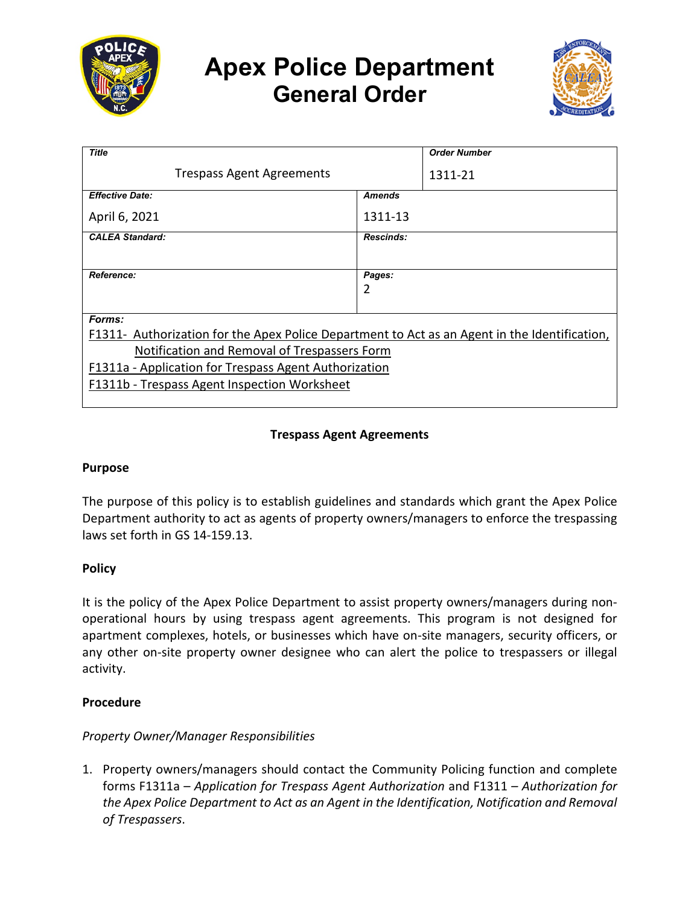

# **Apex Police Department General Order**



| <b>Title</b>                                                                                  |                  | <b>Order Number</b> |
|-----------------------------------------------------------------------------------------------|------------------|---------------------|
| <b>Trespass Agent Agreements</b>                                                              |                  | 1311-21             |
| <b>Effective Date:</b>                                                                        | <b>Amends</b>    |                     |
| April 6, 2021                                                                                 | 1311-13          |                     |
| <b>CALEA Standard:</b>                                                                        | <b>Rescinds:</b> |                     |
|                                                                                               |                  |                     |
| Reference:                                                                                    | Pages:           |                     |
|                                                                                               | 2                |                     |
|                                                                                               |                  |                     |
| Forms:                                                                                        |                  |                     |
| F1311- Authorization for the Apex Police Department to Act as an Agent in the Identification, |                  |                     |
| Notification and Removal of Trespassers Form                                                  |                  |                     |
| F1311a - Application for Trespass Agent Authorization                                         |                  |                     |
| F1311b - Trespass Agent Inspection Worksheet                                                  |                  |                     |
|                                                                                               |                  |                     |

## **Trespass Agent Agreements**

#### **Purpose**

The purpose of this policy is to establish guidelines and standards which grant the Apex Police Department authority to act as agents of property owners/managers to enforce the trespassing laws set forth in GS 14-159.13.

## **Policy**

It is the policy of the Apex Police Department to assist property owners/managers during nonoperational hours by using trespass agent agreements. This program is not designed for apartment complexes, hotels, or businesses which have on-site managers, security officers, or any other on-site property owner designee who can alert the police to trespassers or illegal activity.

#### **Procedure**

## *Property Owner/Manager Responsibilities*

1. Property owners/managers should contact the Community Policing function and complete forms F1311a – *Application for Trespass Agent Authorization* and F1311 *– Authorization for the Apex Police Department to Act as an Agent in the Identification, Notification and Removal of Trespassers*.